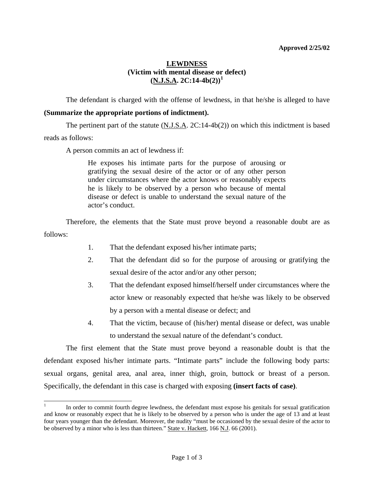## **Approved 2/25/02**

## **LEWDNESS (Victim with mental disease or defect)**   $(N.J.S.A. 2C:14-4b(2))^1$  $(N.J.S.A. 2C:14-4b(2))^1$  $(N.J.S.A. 2C:14-4b(2))^1$

 The defendant is charged with the offense of lewdness, in that he/she is alleged to have **(Summarize the appropriate portions of indictment).**

The pertinent part of the statute  $(N.J.S.A. 2C:14-4b(2))$  on which this indictment is based reads as follows:

A person commits an act of lewdness if:

<span id="page-0-1"></span> $\overline{a}$ 

He exposes his intimate parts for the purpose of arousing or gratifying the sexual desire of the actor or of any other person under circumstances where the actor knows or reasonably expects he is likely to be observed by a person who because of mental disease or defect is unable to understand the sexual nature of the actor's conduct.

 Therefore, the elements that the State must prove beyond a reasonable doubt are as follows:

- 1. That the defendant exposed his/her intimate parts;
- 2. That the defendant did so for the purpose of arousing or gratifying the sexual desire of the actor and/or any other person;
- 3. That the defendant exposed himself/herself under circumstances where the actor knew or reasonably expected that he/she was likely to be observed by a person with a mental disease or defect; and
- 4. That the victim, because of (his/her) mental disease or defect, was unable to understand the sexual nature of the defendant's conduct.

 The first element that the State must prove beyond a reasonable doubt is that the defendant exposed his/her intimate parts. "Intimate parts" include the following body parts: sexual organs, genital area, anal area, inner thigh, groin, buttock or breast of a person. Specifically, the defendant in this case is charged with exposing **(insert facts of case)**.

<span id="page-0-0"></span><sup>1</sup> In order to commit fourth degree lewdness, the defendant must expose his genitals for sexual gratification and know or reasonably expect that he is likely to be observed by a person who is under the age of 13 and at least four years younger than the defendant. Moreover, the nudity "must be occasioned by the sexual desire of the actor to be observed by a minor who is less than thirteen." State v. Hackett, 166 N.J. 66 (2001).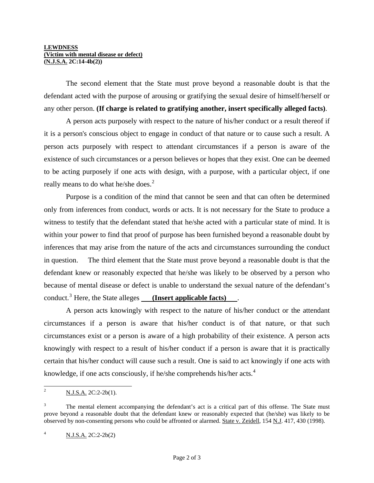The second element that the State must prove beyond a reasonable doubt is that the defendant acted with the purpose of arousing or gratifying the sexual desire of himself/herself or any other person. **(If charge is related to gratifying another, insert specifically alleged facts)**.

 A person acts purposely with respect to the nature of his/her conduct or a result thereof if it is a person's conscious object to engage in conduct of that nature or to cause such a result. A person acts purposely with respect to attendant circumstances if a person is aware of the existence of such circumstances or a person believes or hopes that they exist. One can be deemed to be acting purposely if one acts with design, with a purpose, with a particular object, if one really means to do what he/she does.<sup>[2](#page-0-1)</sup>

 Purpose is a condition of the mind that cannot be seen and that can often be determined only from inferences from conduct, words or acts. It is not necessary for the State to produce a witness to testify that the defendant stated that he/she acted with a particular state of mind. It is within your power to find that proof of purpose has been furnished beyond a reasonable doubt by inferences that may arise from the nature of the acts and circumstances surrounding the conduct in question. The third element that the State must prove beyond a reasonable doubt is that the defendant knew or reasonably expected that he/she was likely to be observed by a person who because of mental disease or defect is unable to understand the sexual nature of the defendant's conduct.<sup>[3](#page-1-0)</sup> Here, the State alleges **(Insert applicable facts)**.

 A person acts knowingly with respect to the nature of his/her conduct or the attendant circumstances if a person is aware that his/her conduct is of that nature, or that such circumstances exist or a person is aware of a high probability of their existence. A person acts knowingly with respect to a result of his/her conduct if a person is aware that it is practically certain that his/her conduct will cause such a result. One is said to act knowingly if one acts with knowledge, if one acts consciously, if he/she comprehends his/her acts.<sup>[4](#page-1-1)</sup>

<sup>&</sup>lt;sup>2</sup> N.J.S.A. 2C:2-2b(1).

<span id="page-1-0"></span><sup>3</sup> The mental element accompanying the defendant's act is a critical part of this offense. The State must prove beyond a reasonable doubt that the defendant knew or reasonably expected that (he/she) was likely to be observed by non-consenting persons who could be affronted or alarmed. State v. Zeidell, 154 N.J. 417, 430 (1998).

<span id="page-1-1"></span><sup>4</sup> N.J.S.A. 2C:2-2b(2)